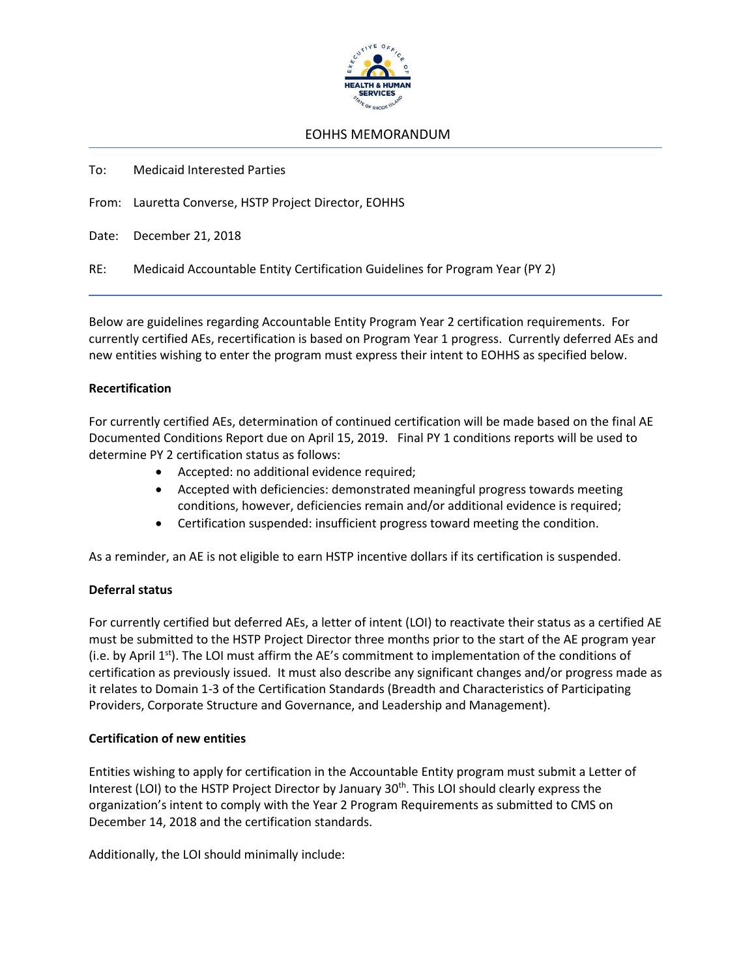

## EOHHS MEMORANDUM

To: Medicaid Interested Parties

From: Lauretta Converse, HSTP Project Director, EOHHS

Date: December 21, 2018

RE: Medicaid Accountable Entity Certification Guidelines for Program Year (PY 2)

Below are guidelines regarding Accountable Entity Program Year 2 certification requirements. For currently certified AEs, recertification is based on Program Year 1 progress. Currently deferred AEs and new entities wishing to enter the program must express their intent to EOHHS as specified below.

## **Recertification**

For currently certified AEs, determination of continued certification will be made based on the final AE Documented Conditions Report due on April 15, 2019. Final PY 1 conditions reports will be used to determine PY 2 certification status as follows:

- Accepted: no additional evidence required;
- Accepted with deficiencies: demonstrated meaningful progress towards meeting conditions, however, deficiencies remain and/or additional evidence is required;
- Certification suspended: insufficient progress toward meeting the condition.

As a reminder, an AE is not eligible to earn HSTP incentive dollars if its certification is suspended.

## **Deferral status**

For currently certified but deferred AEs, a letter of intent (LOI) to reactivate their status as a certified AE must be submitted to the HSTP Project Director three months prior to the start of the AE program year (i.e. by April  $1<sup>st</sup>$ ). The LOI must affirm the AE's commitment to implementation of the conditions of certification as previously issued. It must also describe any significant changes and/or progress made as it relates to Domain 1-3 of the Certification Standards (Breadth and Characteristics of Participating Providers, Corporate Structure and Governance, and Leadership and Management).

## **Certification of new entities**

Entities wishing to apply for certification in the Accountable Entity program must submit a Letter of Interest (LOI) to the HSTP Project Director by January 30<sup>th</sup>. This LOI should clearly express the organization's intent to comply with the Year 2 Program Requirements as submitted to CMS on December 14, 2018 and the certification standards.

Additionally, the LOI should minimally include: